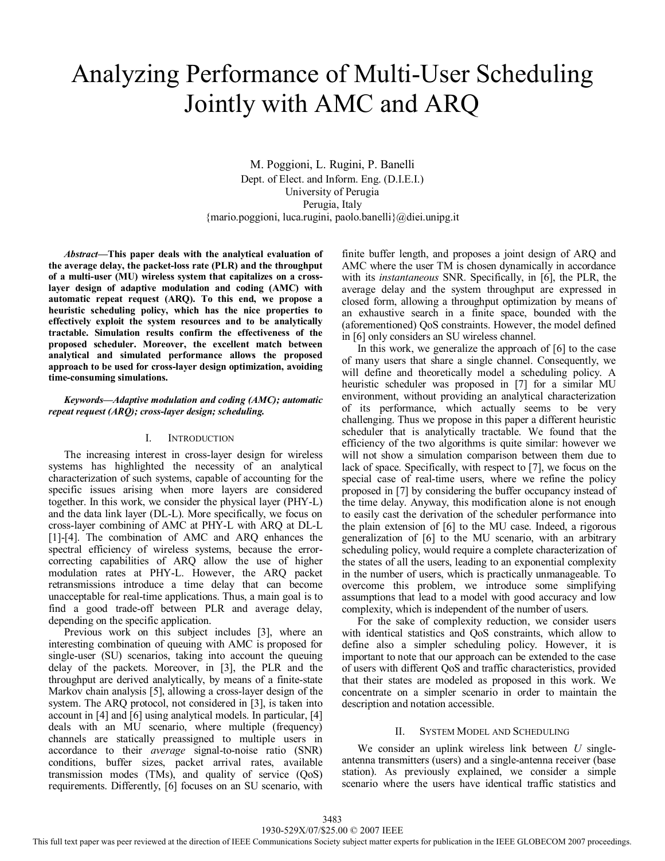# Analyzing Performance of Multi-User Scheduling Jointly with AMC and ARQ

M. Poggioni, L. Rugini, P. Banelli Dept. of Elect. and Inform. Eng. (D.I.E.I.) University of Perugia Perugia, Italy {mario.poggioni, luca.rugini, paolo.banelli}@diei.unipg.it

*Abstract***—This paper deals with the analytical evaluation of the average delay, the packet-loss rate (PLR) and the throughput of a multi-user (MU) wireless system that capitalizes on a crosslayer design of adaptive modulation and coding (AMC) with automatic repeat request (ARQ). To this end, we propose a heuristic scheduling policy, which has the nice properties to effectively exploit the system resources and to be analytically tractable. Simulation results confirm the effectiveness of the proposed scheduler. Moreover, the excellent match between analytical and simulated performance allows the proposed approach to be used for cross-layer design optimization, avoiding time-consuming simulations.** 

# *Keywords—Adaptive modulation and coding (AMC); automatic repeat request (ARQ); cross-layer design; scheduling.*

# I. INTRODUCTION

The increasing interest in cross-layer design for wireless systems has highlighted the necessity of an analytical characterization of such systems, capable of accounting for the specific issues arising when more layers are considered together. In this work, we consider the physical layer (PHY-L) and the data link layer (DL-L). More specifically, we focus on cross-layer combining of AMC at PHY-L with ARQ at DL-L [1]-[4]. The combination of AMC and ARQ enhances the spectral efficiency of wireless systems, because the errorcorrecting capabilities of ARQ allow the use of higher modulation rates at PHY-L. However, the ARQ packet retransmissions introduce a time delay that can become unacceptable for real-time applications. Thus, a main goal is to find a good trade-off between PLR and average delay, depending on the specific application.

Previous work on this subject includes [3], where an interesting combination of queuing with AMC is proposed for single-user (SU) scenarios, taking into account the queuing delay of the packets. Moreover, in [3], the PLR and the throughput are derived analytically, by means of a finite-state Markov chain analysis [5], allowing a cross-layer design of the system. The ARQ protocol, not considered in [3], is taken into account in [4] and [6] using analytical models. In particular, [4] deals with an MU scenario, where multiple (frequency) channels are statically preassigned to multiple users in accordance to their *average* signal-to-noise ratio (SNR) conditions, buffer sizes, packet arrival rates, available transmission modes (TMs), and quality of service (QoS) requirements. Differently, [6] focuses on an SU scenario, with

finite buffer length, and proposes a joint design of ARQ and AMC where the user TM is chosen dynamically in accordance with its *instantaneous* SNR. Specifically, in [6], the PLR, the average delay and the system throughput are expressed in closed form, allowing a throughput optimization by means of an exhaustive search in a finite space, bounded with the (aforementioned) QoS constraints. However, the model defined in [6] only considers an SU wireless channel.

In this work, we generalize the approach of [6] to the case of many users that share a single channel. Consequently, we will define and theoretically model a scheduling policy. A heuristic scheduler was proposed in [7] for a similar MU environment, without providing an analytical characterization of its performance, which actually seems to be very challenging. Thus we propose in this paper a different heuristic scheduler that is analytically tractable. We found that the efficiency of the two algorithms is quite similar: however we will not show a simulation comparison between them due to lack of space. Specifically, with respect to [7], we focus on the special case of real-time users, where we refine the policy proposed in [7] by considering the buffer occupancy instead of the time delay. Anyway, this modification alone is not enough to easily cast the derivation of the scheduler performance into the plain extension of [6] to the MU case. Indeed, a rigorous generalization of [6] to the MU scenario, with an arbitrary scheduling policy, would require a complete characterization of the states of all the users, leading to an exponential complexity in the number of users, which is practically unmanageable. To overcome this problem, we introduce some simplifying assumptions that lead to a model with good accuracy and low complexity, which is independent of the number of users.

For the sake of complexity reduction, we consider users with identical statistics and QoS constraints, which allow to define also a simpler scheduling policy. However, it is important to note that our approach can be extended to the case of users with different QoS and traffic characteristics, provided that their states are modeled as proposed in this work. We concentrate on a simpler scenario in order to maintain the description and notation accessible.

# II. SYSTEM MODEL AND SCHEDULING

We consider an uplink wireless link between *U* singleantenna transmitters (users) and a single-antenna receiver (base station). As previously explained, we consider a simple scenario where the users have identical traffic statistics and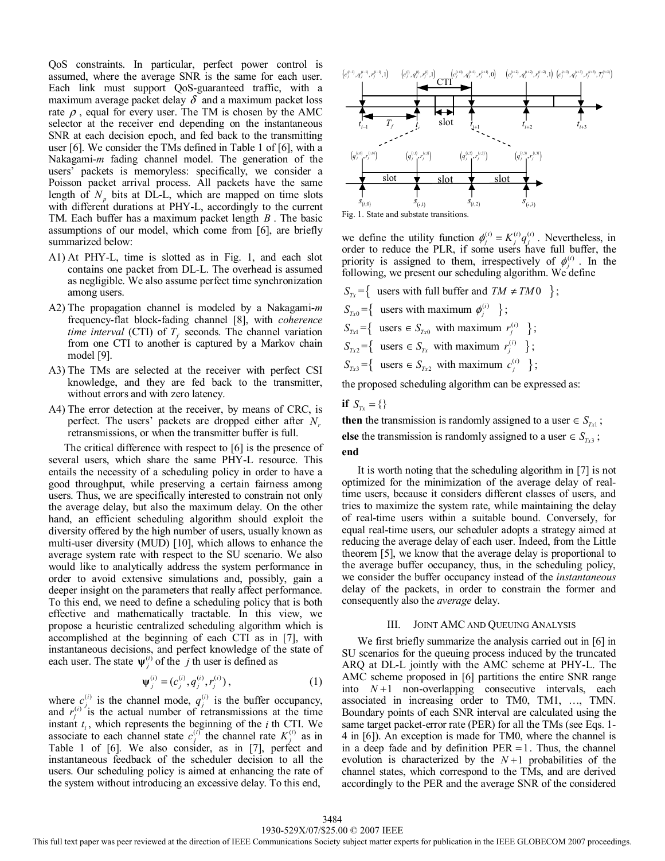QoS constraints. In particular, perfect power control is assumed, where the average SNR is the same for each user. Each link must support QoS-guaranteed traffic, with a maximum average packet delay  $\delta$  and a maximum packet loss rate  $\rho$ , equal for every user. The TM is chosen by the AMC selector at the receiver end depending on the instantaneous SNR at each decision epoch, and fed back to the transmitting user [6]. We consider the TMs defined in Table 1 of [6], with a Nakagami-*m* fading channel model. The generation of the users' packets is memoryless: specifically, we consider a Poisson packet arrival process. All packets have the same length of  $N_p$  bits at DL-L, which are mapped on time slots with different durations at PHY-L, accordingly to the current TM. Each buffer has a maximum packet length *B* . The basic assumptions of our model, which come from [6], are briefly summarized below:

- A1) At PHY-L, time is slotted as in Fig. 1, and each slot contains one packet from DL-L. The overhead is assumed as negligible. We also assume perfect time synchronization among users.
- A2) The propagation channel is modeled by a Nakagami-*m* frequency-flat block-fading channel [8], with *coherence time interval* (CTI) of  $T_f$  seconds. The channel variation from one CTI to another is captured by a Markov chain model [9].
- A3) The TMs are selected at the receiver with perfect CSI knowledge, and they are fed back to the transmitter, without errors and with zero latency.
- A4) The error detection at the receiver, by means of CRC, is perfect. The users' packets are dropped either after *Nr* retransmissions, or when the transmitter buffer is full.

The critical difference with respect to [6] is the presence of several users, which share the same PHY-L resource. This entails the necessity of a scheduling policy in order to have a good throughput, while preserving a certain fairness among users. Thus, we are specifically interested to constrain not only the average delay, but also the maximum delay. On the other hand, an efficient scheduling algorithm should exploit the diversity offered by the high number of users, usually known as multi-user diversity (MUD) [10], which allows to enhance the average system rate with respect to the SU scenario. We also would like to analytically address the system performance in order to avoid extensive simulations and, possibly, gain a deeper insight on the parameters that really affect performance. To this end, we need to define a scheduling policy that is both effective and mathematically tractable. In this view, we propose a heuristic centralized scheduling algorithm which is accomplished at the beginning of each CTI as in [7], with instantaneous decisions, and perfect knowledge of the state of each user. The state  $\psi_i^{(i)}$  of the *j* th user is defined as

$$
\Psi_j^{(i)} = (c_j^{(i)}, q_j^{(i)}, r_j^{(i)}), \tag{1}
$$

where  $c_j^{(i)}$  is the channel mode,  $q_j^{(i)}$  is the buffer occupancy, and  $r_i^{(i)}$  is the actual number of retransmissions at the time instant  $t_i$ , which represents the beginning of the *i* th CTI. We associate to each channel state  $c_j^{(i)}$  the channel rate  $K_j^{(i)}$  as in Table 1 of [6]. We also consider, as in [7], perfect and instantaneous feedback of the scheduler decision to all the users. Our scheduling policy is aimed at enhancing the rate of the system without introducing an excessive delay. To this end,





we define the utility function  $\phi_j^{(i)} = K_j^{(i)} q_j^{(i)}$ . Nevertheless, in order to reduce the PLR, if some users have full buffer, the priority is assigned to them, irrespectively of  $\phi_i^{(i)}$ . In the following, we present our scheduling algorithm. We define

 $S_{T_x} = \{$  users with full buffer and  $TM \neq TM0$  };  $S_{Tx0} = \left\{$  users with maximum  $\phi_i^{(i)}$  };  $S_{\tau x1} = \left\{ \text{ users } \in S_{\tau x0} \text{ with maximum } r_j^{(i)} \right\};$  $S_{Tx2} = \left\{$  users  $\in S_{Tx}$  with maximum  $r_j^{(i)} \right\}$ ;  $S_{Tx3} = \left\{$  users  $\in S_{Tx2}$  with maximum  $c_j^{(i)}$  }; the proposed scheduling algorithm can be expressed as:

**if**  $S_{T_x} = \{\}$ 

**then** the transmission is randomly assigned to a user  $\in$  *S*<sub>*Tx*1</sub> ∶ else the transmission is randomly assigned to a user  $\in S_{\tau_{x3}}$ ; **end** 

It is worth noting that the scheduling algorithm in [7] is not optimized for the minimization of the average delay of realtime users, because it considers different classes of users, and tries to maximize the system rate, while maintaining the delay of real-time users within a suitable bound. Conversely, for equal real-time users, our scheduler adopts a strategy aimed at reducing the average delay of each user. Indeed, from the Little theorem [5], we know that the average delay is proportional to the average buffer occupancy, thus, in the scheduling policy, we consider the buffer occupancy instead of the *instantaneous*  delay of the packets, in order to constrain the former and consequently also the *average* delay.

#### III. JOINT AMC AND QUEUING ANALYSIS

We first briefly summarize the analysis carried out in [6] in SU scenarios for the queuing process induced by the truncated ARQ at DL-L jointly with the AMC scheme at PHY-L. The AMC scheme proposed in [6] partitions the entire SNR range into  $N+1$  non-overlapping consecutive intervals, each associated in increasing order to TM0, TM1, …, TMN. Boundary points of each SNR interval are calculated using the same target packet-error rate (PER) for all the TMs (see Eqs. 1- 4 in [6]). An exception is made for TM0, where the channel is in a deep fade and by definition  $PER = 1$ . Thus, the channel evolution is characterized by the  $N+1$  probabilities of the channel states, which correspond to the TMs, and are derived accordingly to the PER and the average SNR of the considered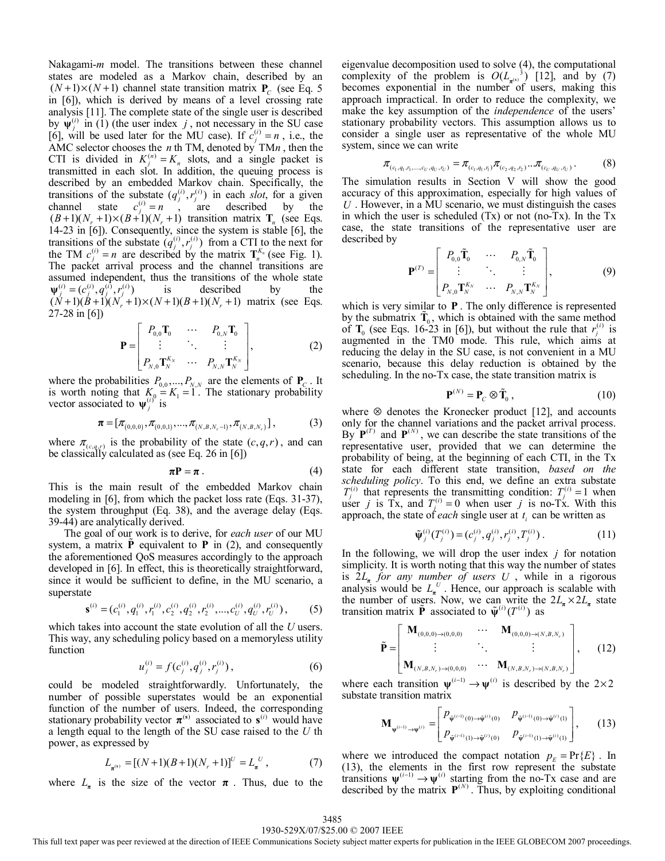Nakagami-*m* model. The transitions between these channel states are modeled as a Markov chain, described by an  $(N+1)\times(N+1)$  channel state transition matrix  $P_c$  (see Eq. 5) in [6]), which is derived by means of a level crossing rate analysis [11]. The complete state of the single user is described by  $\psi_i^{(i)}$  in (1) (the user index *j*, not necessary in the SU case [6], will be used later for the MU case). If  $c_j^{(i)} = n$ , i.e., the AMC selector chooses the *n* th TM, denoted by TM*n* , then the CTI is divided in  $K_j^{(n)} = K_n$  slots, and a single packet is transmitted in each slot. In addition, the queuing process is described by an embedded Markov chain. Specifically, the transitions of the substate  $(q_j^{(i)}, r_j^{(i)})$  in each *slot*, for a given channel state  $c_j^{(i)} = n$ , are described by the  $(B+1)(N_r+1)\times (B+1)(N_r+1)$  transition matrix  $\mathbf{T}_n$  (see Eqs. 14-23 in [6]). Consequently, since the system is stable [6], the transitions of the substate  $(q_i^{(i)}, r_j^{(i)})$  from a CTI to the next for the TM  $c_j^{(i)} = n$  are described by the matrix  $\mathbf{T}_n^{K_n}$  (see Fig. 1). The packet arrival process and the channel transitions are assumed independent, thus the transitions of the whole state  $\Psi_j^{(i)} = (c_j^{(i)}, q_j^{(i)}, r_j^{(i)})$  is described by the  $(N+1)(B+1)(N_r+1)\times(N+1)(B+1)(N_r+1)$  matrix (see Eqs. 27-28 in [6])

$$
\mathbf{P} = \begin{bmatrix} P_{0,0} \mathbf{T}_0 & \cdots & P_{0,N} \mathbf{T}_0 \\ \vdots & \ddots & \vdots \\ P_{N,0} \mathbf{T}_N^{K_N} & \cdots & P_{N,N} \mathbf{T}_N^{K_N} \end{bmatrix},
$$
(2)

where the probabilities  $P_{0,0},..., P_{N,N}$  are the elements of  $P_C$ . It is worth noting that  $K_0 = K_1 = 1$ . The stationary probability vector associated to  $\psi_j^{(i)}$  is

$$
\boldsymbol{\pi} = [\pi_{(0,0,0)}, \pi_{(0,0,1)}, ..., \pi_{(N,B,N_r-1)}, \pi_{(N,B,N_r)}],
$$
\n(3)

where  $\pi_{(c,q,r)}$  is the probability of the state  $(c, q, r)$ , and can be classically calculated as (see Eq. 26 in [6])

$$
\pi \mathbf{P} = \pi \tag{4}
$$

This is the main result of the embedded Markov chain modeling in [6], from which the packet loss rate (Eqs. 31-37), the system throughput (Eq. 38), and the average delay (Eqs. 39-44) are analytically derived.

The goal of our work is to derive, for *each user* of our MU system, a matrix  $\vec{P}$  equivalent to  $P$  in (2), and consequently the aforementioned QoS measures accordingly to the approach developed in [6]. In effect, this is theoretically straightforward, since it would be sufficient to define, in the MU scenario, a superstate

$$
\mathbf{s}^{(i)} = (c_1^{(i)}, q_1^{(i)}, r_1^{(i)}, c_2^{(i)}, q_2^{(i)}, r_2^{(i)}, ..., c_U^{(i)}, q_U^{(i)}, r_U^{(i)}), \qquad (5)
$$

which takes into account the state evolution of all the *U* users. This way, any scheduling policy based on a memoryless utility function

$$
u_j^{(i)} = f(c_j^{(i)}, q_j^{(i)}, r_j^{(i)}), \qquad (6)
$$

could be modeled straightforwardly. Unfortunately, the number of possible superstates would be an exponential function of the number of users. Indeed, the corresponding stationary probability vector  $\pi$ <sup>(s)</sup> associated to  $\mathbf{s}$ <sup>(i)</sup> would have a length equal to the length of the SU case raised to the *U* th power, as expressed by

$$
L_{\pi^{(s)}} = [(N+1)(B+1)(N_r+1)]^U = L_{\pi}^U,
$$
 (7)

where  $L_{\pi}$  is the size of the vector  $\pi$ . Thus, due to the

eigenvalue decomposition used to solve (4), the computational complexity of the problem is  $O(L_{\pi(s)}^3)$  [12], and by (7) becomes exponential in the number of users, making this approach impractical. In order to reduce the complexity, we make the key assumption of the *independence* of the users' stationary probability vectors. This assumption allows us to consider a single user as representative of the whole MU system, since we can write

$$
\pi_{(c_1,q_1,r_1,\ldots,r_U,q_U,r_U)} = \pi_{(c_1,q_1,r_1)} \pi_{(c_2,q_2,r_2)} \ldots \pi_{(c_U,q_U,r_U)}.
$$
 (8)

The simulation results in Section V will show the good accuracy of this approximation, especially for high values of *U* . However, in a MU scenario, we must distinguish the cases in which the user is scheduled (Tx) or not (no-Tx). In the Tx case, the state transitions of the representative user are described by

$$
\mathbf{P}^{(T)} = \begin{bmatrix} P_{0,0} \tilde{\mathbf{T}}_0 & \cdots & P_{0,N} \tilde{\mathbf{T}}_0 \\ \vdots & \ddots & \vdots \\ P_{N,0} \mathbf{T}_N^{K_N} & \cdots & P_{N,N} \mathbf{T}_N^{K_N} \end{bmatrix},
$$
(9)

which is very similar to **P** . The only difference is represented by the submatrix  $\tilde{\mathbf{T}}_0$ , which is obtained with the same method of **T**<sub>0</sub> (see Eqs. 16-23 in [6]), but without the rule that  $r_j^{(i)}$  is augmented in the TM0 mode. This rule, which aims at reducing the delay in the SU case, is not convenient in a MU scenario, because this delay reduction is obtained by the scheduling. In the no-Tx case, the state transition matrix is

$$
\mathbf{P}^{(N)} = \mathbf{P}_C \otimes \tilde{\mathbf{T}}_0 , \qquad (10)
$$

where  $\otimes$  denotes the Kronecker product [12], and accounts only for the channel variations and the packet arrival process. By  $P^{(T)}$  and  $P^{(N)}$ , we can describe the state transitions of the representative user, provided that we can determine the probability of being, at the beginning of each CTI, in the Tx state for each different state transition, *based on the scheduling policy*. To this end, we define an extra substate  $T_j^{(i)}$  that represents the transmitting condition:  $T_j^{(i)} = 1$  when user *j* is Tx, and  $T_i^{(i)} = 0$  when user *j* is no-Tx. With this approach, the state of *each* single user at  $t_i$  can be written as

$$
\tilde{\Psi}_j^{(i)}(T_j^{(i)}) = (c_j^{(i)}, q_j^{(i)}, r_j^{(i)}, T_j^{(i)}).
$$
\n(11)

In the following, we will drop the user index *j* for notation simplicity. It is worth noting that this way the number of states is  $2L_{\pi}$  *for any number of users U*, while in a rigorous analysis would be  $L_n^U$ . Hence, our approach is scalable with the number of users. Now, we can write the  $2L_{\pi} \times 2L_{\pi}$  state transition matrix **P** associated to  $\tilde{\psi}^{(i)}(T^{(i)})$  as

$$
\tilde{\mathbf{P}} = \begin{bmatrix} \mathbf{M}_{(0,0,0)\to(0,0,0)} & \cdots & \mathbf{M}_{(0,0,0)\to(N,B,N_r)} \\ \vdots & \ddots & \vdots \\ \mathbf{M}_{(N,B,N_r)\to(0,0,0)} & \cdots & \mathbf{M}_{(N,B,N_r)\to(N,B,N_r)} \end{bmatrix}, \quad (12)
$$

where each transition  $\psi^{(i-1)} \to \psi^{(i)}$  is described by the 2×2 substate transition matrix

$$
\mathbf{M}_{\Psi^{(i-1)} \to \Psi^{(i)}} = \begin{bmatrix} P_{\tilde{\Psi}^{(i-1)}(0) \to \tilde{\Psi}^{(i)}(0)} & P_{\tilde{\Psi}^{(i-1)}(0) \to \tilde{\Psi}^{(i)}(1)} \\ P_{\tilde{\Psi}^{(i-1)}(1) \to \tilde{\Psi}^{(i)}(0)} & P_{\tilde{\Psi}^{(i-1)}(1) \to \tilde{\Psi}^{(i)}(1)} \end{bmatrix}, \quad (13)
$$

where we introduced the compact notation  $p_E = Pr{E}$ . In (13), the elements in the first row represent the substate transitions  $\psi^{(i-1)} \rightarrow \psi^{(i)}$  starting from the no-Tx case and are described by the matrix  $P^{(N)}$ . Thus, by exploiting conditional

This full text paper was peer reviewed at the direction of IEEE Communications Society subject matter experts for publication in the IEEE GLOBECOM 2007 proceedings.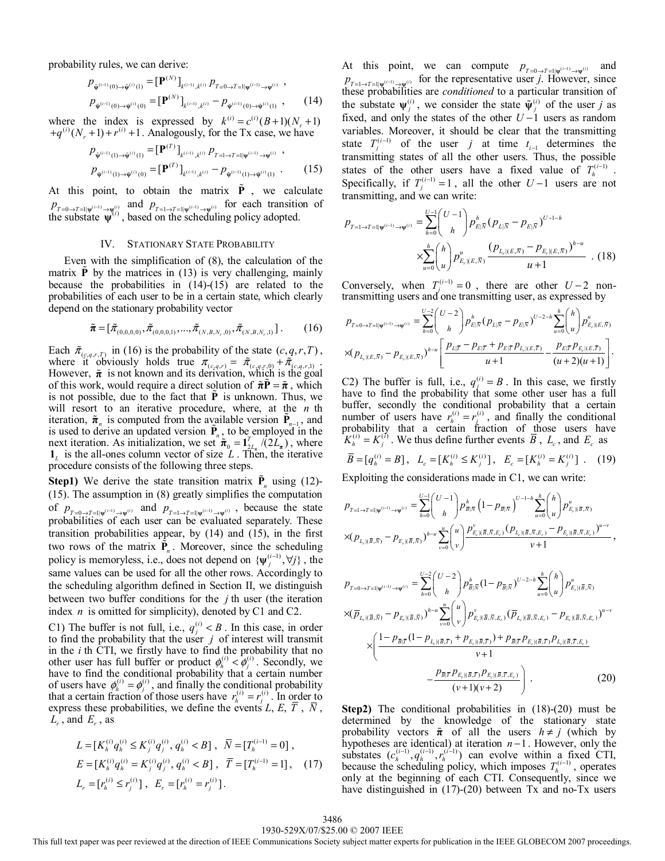probability rules, we can derive:

$$
p_{\tilde{\Psi}^{(i-1)}(0)\to\tilde{\Psi}^{(i)}(1)} = [\mathbf{P}^{(N)}]_{k^{(i-1)},k^{(i)}} p_{T=0\to T=1|\Psi^{(i-1)}\to\Psi^{(i)}} ,
$$
  

$$
p_{\tilde{\Psi}^{(i-1)}(0)\to\tilde{\Psi}^{(i)}(0)} = [\mathbf{P}^{(N)}]_{k^{(i-1)},k^{(i)}} - p_{\tilde{\Psi}^{(i-1)}(0)\to\tilde{\Psi}^{(i)}(1)},
$$
 (14)

where the index is expressed by  $k^{(i)} = c^{(i)}(B+1)(N_r + 1)$  $+q^{(i)}(N_r+1)+r^{(i)}+1$ . Analogously, for the Tx case, we have

$$
p_{\tilde{\Psi}^{(i-1)}(1)\to\tilde{\Psi}^{(i)}(1)} = [\mathbf{P}^{(T)}]_{k^{(i-1)},k^{(i)}} p_{T=1\to T=1|\Psi^{(i-1)}\to\Psi^{(i)}} ,
$$
  
\n
$$
p_{\tilde{\Psi}^{(i-1)}(1)\to\tilde{\Psi}^{(i)}(0)} = [\mathbf{P}^{(T)}]_{k^{(i-1)},k^{(i)}} - p_{\tilde{\Psi}^{(i-1)}(1)\to\tilde{\Psi}^{(i)}(1)} .
$$
 (15)

At this point, to obtain the matrix  $\tilde{P}$ , we calculate  $p_{T=0\to T=1|\psi^{(i-1)}\to\Psi^{(i)}}$  and  $p_{T=1\to T=1|\psi^{(i-1)}\to\Psi^{(i)}}$  for each transition of the substate  $\psi^{(i)}$ , based on the scheduling policy adopted.

## IV. STATIONARY STATE PROBABILITY

Even with the simplification of (8), the calculation of the matrix  $\vec{P}$  by the matrices in (13) is very challenging, mainly because the probabilities in (14)-(15) are related to the probabilities of each user to be in a certain state, which clearly depend on the stationary probability vector

$$
\tilde{\boldsymbol{\pi}} = [\tilde{\pi}_{(0,0,0,0)}, \tilde{\pi}_{(0,0,0,1)}, ..., \tilde{\pi}_{(N,B,N_r,0)}, \tilde{\pi}_{(N,B,N_r,1)}].
$$
 (16)

Each  $\tilde{\pi}_{(c,q,r,T)}$  in (16) is the probability of the state  $(c,q,r,T)$ , where it obviously holds true  $\pi_{(c,q,r)} = \tilde{\pi}_{(c,q,r,0)} + \tilde{\pi}_{(c,q,r,1)}$ . However,  $\tilde{\pi}$  is not known and its derivation, which is the goal of this work, would require a direct solution of  $\tilde{\pi} \tilde{P} = \tilde{\pi}$ , which is not possible, due to the fact that **P** is unknown. Thus, we will resort to an iterative procedure, where, at the *n* th iteration,  $\tilde{\boldsymbol{\pi}}_n$  is computed from the available version  $\tilde{\mathbf{P}}_{n-1}$ , and is used to derive an updated version  $\tilde{P}_n$ , to be employed in the next iteration. As initialization, we set  $\hat{\pi}_{0} = \mathbf{1}_{2L_{\pi}}^{T} / (2L_{\pi})$ , where  $\mathbf{1}_L$  is the all-ones column vector of size L. Then, the iterative procedure consists of the following three steps.

**Step1)** We derive the state transition matrix  $\tilde{\mathbf{P}}_n$  using (12)-(15). The assumption in (8) greatly simplifies the computation of  $p_{T=0 \to T=1|\psi^{(i-1)} \to \psi^{(i)}}$  and  $p_{T=1 \to T=1|\psi^{(i-1)} \to \psi^{(i)}}$ , because the state probabilities of each user can be evaluated separately. These transition probabilities appear, by (14) and (15), in the first two rows of the matrix  $\mathbf{\hat{P}}_n$ . Moreover, since the scheduling policy is memoryless, i.e., does not depend on  $\{\psi_j^{(i-1)}, \forall j\}$ , the same values can be used for all the other rows. Accordingly to the scheduling algorithm defined in Section II, we distinguish between two buffer conditions for the *j* th user (the iteration index *n* is omitted for simplicity), denoted by C1 and C2.

C1) The buffer is not full, i.e.,  $q_i^{(i)} < B$ . In this case, in order to find the probability that the user *j* of interest will transmit in the *i* th CTI, we firstly have to find the probability that no other user has full buffer or product  $\phi_h^{(i)} < \phi_j^{(i)}$ . Secondly, we have to find the conditional probability that a certain number of users have  $\phi_h^{(i)} = \phi_i^{(i)}$ , and finally the conditional probability that a certain fraction of those users have  $r_h^{(i)} = r_j^{(i)}$ . In order to express these probabilities, we define the events  $L, E, T, \overline{N}$ , *Lr* , and *Er* , as

$$
L = [K_h^{(i)} q_h^{(i)} \le K_j^{(i)} q_j^{(i)}, q_h^{(i)} < B], \ \ \bar{N} = [T_h^{(i-1)} = 0],
$$
\n
$$
E = [K_h^{(i)} q_h^{(i)} = K_j^{(i)} q_j^{(i)}, q_h^{(i)} < B], \ \ \bar{T} = [T_h^{(i-1)} = 1], \ \ (17)
$$
\n
$$
L_r = [r_h^{(i)} \le r_j^{(i)}], \ \ E_r = [r_h^{(i)} = r_j^{(i)}].
$$

At this point, we can compute  $p_{T=0 \to T=1|\psi^{(i-1)} \to \psi^{(i)}}$  and  $P_{T=1\rightarrow T=1|\psi^{(i-1)}\rightarrow \psi^{(i)}}$  for the representative user *j*. However, since these probabilities are *conditioned* to a particular transition of the substate  $\Psi_j^{(i)}$ , we consider the state  $\tilde{\Psi}_j^{(i)}$  of the user *j* as fixed, and only the states of the other *U* −1 users as random variables. Moreover, it should be clear that the transmitting state  $T_j^{(i-1)}$  of the user *j* at time  $t_{i-1}$  determines the transmitting states of all the other users. Thus, the possible states of the other users have a fixed value of  $T_h^{(i-1)}$ . Specifically, if  $T_j^{(i-1)} = 1$ , all the other  $U-1$  users are not transmitting, and we can write:

$$
p_{T=1\to T=1|\psi^{(i-1)}\to\psi^{(i)}} = \sum_{h=0}^{U-1} {U-1 \choose h} p_{E|\overline{N}}^h (p_{L|\overline{N}} - p_{E|\overline{N}})^{U-1-h}
$$
  

$$
\times \sum_{u=0}^h {h \choose u} p_{E_r|(E,\overline{N})}^u \frac{(p_{L_r|(E,\overline{N})} - p_{E_r|(E,\overline{N})})^{h-u}}{u+1} .
$$
 (18)

Conversely, when  $T_j^{(i-1)} = 0$ , there are other  $U - 2$  nontransmitting users and one transmitting user, as expressed by

$$
p_{T=0\to T=1|\psi^{(i-1)}\to\psi^{(i)}} = \sum_{h=0}^{U-2} {U-2 \choose h} p_{E|\overline{N}}^h (p_{L|\overline{N}} - p_{E|\overline{N}})^{U-2-h} \sum_{u=0}^h {h \choose u} p_{E_r|(E,\overline{N})}^u
$$
  
×
$$
(p_{L_r|(E,\overline{N})} - p_{E_r|(E,\overline{N})})^{h-u} \left[ \frac{p_{L|\overline{T}} - p_{E|\overline{T}} + p_{E|\overline{T}} p_{L_r|(E,\overline{T})}}{u+1} - \frac{p_{E|\overline{T}} p_{E_r|(E,\overline{T})}}{(u+2)(u+1)} \right].
$$

C2) The buffer is full, i.e.,  $q_i^{(i)} = B$ . In this case, we firstly have to find the probability that some other user has a full buffer, secondly the conditional probability that a certain number of users have  $r_h^{(i)} = r_i^{(i)}$ , and finally the conditional probability that a certain fraction of those users have  $K_h^{(i)} = K_j^{(i)}$ . We thus define further events  $\overline{B}$ ,  $L_c$ , and  $E_c$  as

$$
\overline{B} = [q_h^{(i)} = B], \quad L_c = [K_h^{(i)} \le K_j^{(i)}], \quad E_c = [K_h^{(i)} = K_j^{(i)}]. \tag{19}
$$

Exploiting the considerations made in C1, we can write:

$$
p_{T=1\to T=1|\psi^{(i-1)}\to\psi^{(i)}}=\sum_{h=0}^{U-1}\binom{U-1}{h}p_{B|\overline{N}}^h\left(1-p_{\overline{B}|\overline{N}}\right)^{U-1-h}\sum_{u=0}^h\binom{h}{u}p_{E_r|(\overline{B},\overline{N})}^u
$$
  

$$
\times(p_{L_r|(\overline{B},\overline{N})}-p_{E_r|(\overline{B},\overline{N})})^{h-u}\sum_{v=0}^u\binom{u}{v}\frac{p_{E_v|(\overline{B},\overline{N},E_r)}^v(p_{L_v|(\overline{B},\overline{N},E_r)}-p_{E_v|(\overline{B},\overline{N},E_r)})^{u-v}}{v+1},
$$

$$
p_{T=0 \to T=1|\psi^{(i-1)} \to \psi^{(i)}} = \sum_{h=0}^{U-2} \binom{U-2}{h} p_{\overline{B}|\overline{N}}^h (1-p_{\overline{B}|\overline{N}})^{U-2-h} \sum_{u=0}^h \binom{h}{u} p_{E_r|(\overline{B},\overline{N})}^u
$$
  

$$
\times (\overline{p}_{L_r|(\overline{B},\overline{N})} - p_{E_r|(\overline{B},\overline{N})})^{h-u} \sum_{v=0}^u \binom{u}{v} p_{E_c|(\overline{B},\overline{N},E_r)}^v (\overline{p}_{L_c|(\overline{B},\overline{N},E_r)} - p_{E_c|(\overline{B},\overline{N},E_r)})^{u-v}
$$
  

$$
\times \left( \frac{1-p_{\overline{B}|\overline{T}} (1-p_{L_r|(\overline{B},\overline{T})} + p_{E_r|(\overline{B},\overline{T})}) + p_{\overline{B}|\overline{T}} p_{E_r|(\overline{B},\overline{T})} p_{L_c|(\overline{B},\overline{T},E_r)}}{v+1} \right)
$$
  

$$
- \frac{p_{\overline{B}|\overline{T}} p_{E_r|(\overline{B},\overline{T})} p_{E_c|(\overline{B},\overline{T},E_r)}}{(v+1)(v+2)} \right). \tag{20}
$$

**Step2)** The conditional probabilities in (18)-(20) must be determined by the knowledge of the stationary state probability vectors  $\tilde{\pi}$  of all the users  $h \neq j$  (which by hypotheses are identical) at iteration *n* −1 . However, only the substates  $(c_h^{(i-1)}, q_h^{(i-1)}, r_h^{(i-1)})$  can evolve within a fixed CTI, because the scheduling policy, which imposes  $T_h^{(i-1)}$ , operates only at the beginning of each CTI. Consequently, since we have distinguished in (17)-(20) between Tx and no-Tx users

#### 1930-529X/07/\$25.00 © 2007 IEEE 3486

This full text paper was peer reviewed at the direction of IEEE Communications Society subject matter experts for publication in the IEEE GLOBECOM 2007 proceedings.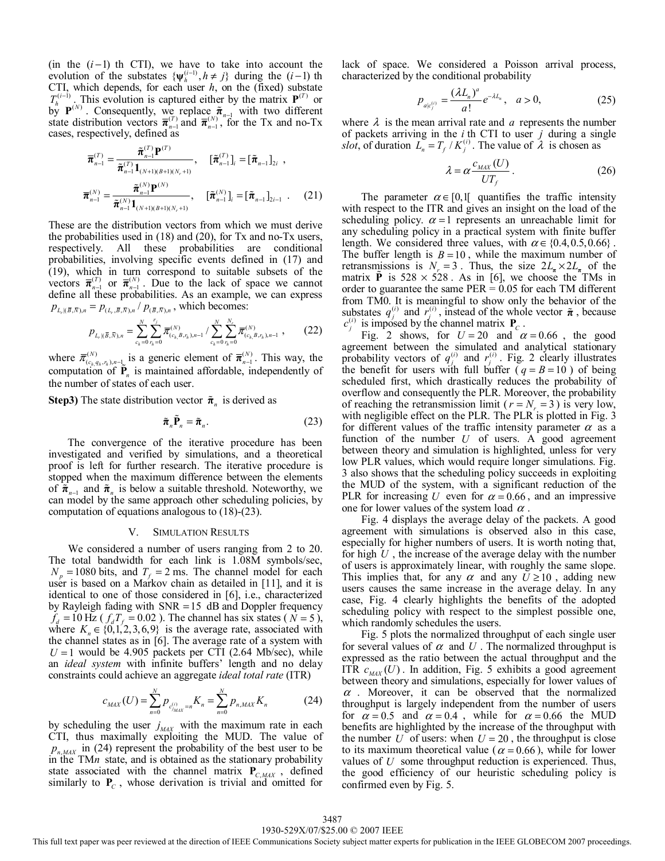(in the  $(i-1)$  th CTI), we have to take into account the evolution of the substates  $\{\psi_h^{(i-1)}, h \neq j\}$  during the  $(i-1)$  th CTI, which depends, for each user *h*, on the (fixed) substate  $T_h^{(i-1)}$ . This evolution is captured either by the matrix  $P^{(T)}$  or  $b_y^n$  **P**<sup>(N)</sup>. Consequently, we replace  $\tilde{\pi}_{n-1}$  with two different state distribution vectors  $\bar{\pi}_{n-1}^{(T)}$  and  $\bar{\pi}_{n-1}^{(N)}$ , for the Tx and no-Tx cases, respectively, defined as

$$
\overline{\boldsymbol{\pi}}_{n-1}^{(T)} = \frac{\tilde{\boldsymbol{\pi}}_{n-1}^{(T)} \mathbf{P}^{(T)}}{\tilde{\boldsymbol{\pi}}_{n-1}^{(T)} \mathbf{1}_{(N+1)(B+1)(N_r+1)}}, \quad [\tilde{\boldsymbol{\pi}}_{n-1}^{(T)}]_i = [\tilde{\boldsymbol{\pi}}_{n-1}]_{2i} ,
$$
\n
$$
\overline{\boldsymbol{\pi}}_{n-1}^{(N)} = \frac{\tilde{\boldsymbol{\pi}}_{n}^{(N)} \mathbf{P}^{(N)}}{\tilde{\boldsymbol{\pi}}_{n-1}^{(N)} \mathbf{1}_{(N+1)(B+1)(N_r+1)}}, \quad [\tilde{\boldsymbol{\pi}}_{n-1}^{(N)}]_i = [\tilde{\boldsymbol{\pi}}_{n-1}]_{2i-1} .
$$
\n(21)

These are the distribution vectors from which we must derive the probabilities used in (18) and (20), for Tx and no-Tx users, respectively. All these probabilities are conditional probabilities, involving specific events defined in (17) and (19), which in turn correspond to suitable subsets of the vectors  $\bar{\pi}_{n-1}^{(T)}$  or  $\bar{\pi}_{n-1}^{(N)}$ . Due to the lack of space we cannot define all these probabilities. As an example, we can express  $p_{L_r | (\bar{B}, \bar{N}), n} = p_{(L_r, \bar{B}, \bar{N}), n} / p_{(\bar{B}, \bar{N}), n}$ , which becomes:

$$
p_{L_r | (\bar{B}, \bar{N}), n} = \sum_{c_h=0}^N \sum_{r_h=0}^{r_j} \overline{\pi}_{(c_h, B, r_h), n-1}^{(N)} / \sum_{c_h=0}^N \sum_{r_h=0}^{N_r} \overline{\pi}_{(c_h, B, r_h), n-1}^{(N)}, \qquad (22)
$$

where  $\bar{\pi}_{(c_{h,q_h,r_h),n-\underline{1}}^{(N)}}^{(N)}$  is a generic element of  $\bar{\pi}_{n-1}^{(N)}$ . This way, the computation of  $\tilde{P}_n$  is maintained affordable, independently of the number of states of each user.

**Step3)** The state distribution vector  $\tilde{\pi}$ <sup>n</sup> is derived as

$$
\tilde{\boldsymbol{\pi}}_n \tilde{\mathbf{P}}_n = \tilde{\boldsymbol{\pi}}_n. \tag{23}
$$

The convergence of the iterative procedure has been investigated and verified by simulations, and a theoretical proof is left for further research. The iterative procedure is stopped when the maximum difference between the elements of  $\tilde{\pi}_{n-1}$  and  $\tilde{\pi}_n$  is below a suitable threshold. Noteworthy, we can model by the same approach other scheduling policies, by computation of equations analogous to (18)-(23).

# V. SIMULATION RESULTS

We considered a number of users ranging from 2 to 20. The total bandwidth for each link is 1.08M symbols/sec,  $N_p = 1080$  bits, and  $T_f = 2$  ms. The channel model for each user is based on a Markov chain as detailed in [11], and it is identical to one of those considered in [6], i.e., characterized by Rayleigh fading with  $SNR = 15$  dB and Doppler frequency  $f_d = 10 \text{ Hz}$  ( $f_d T_f = 0.02$ ). The channel has six states ( $N = 5$ ), where  $K_n \in \{0, 1, 2, 3, 6, 9\}$  is the average rate, associated with the channel states as in [6]. The average rate of a system with  $U = 1$  would be 4.905 packets per CTI (2.64 Mb/sec), while an *ideal system* with infinite buffers' length and no delay constraints could achieve an aggregate *ideal total rate* (ITR)

$$
c_{MAX}(U) = \sum_{n=0}^{N} p_{c_{MAX}^{(i)}} = K_n = \sum_{n=0}^{N} p_{n,MAX} K_n
$$
 (24)

by scheduling the user  $j_{MAX}$  with the maximum rate in each CTI, thus maximally exploiting the MUD. The value of  $p_{n,MAX}$  in (24) represent the probability of the best user to be in the TM*n* state, and is obtained as the stationary probability state associated with the channel matrix  $P_{C,MAX}$ , defined similarly to **P***<sup>C</sup>* , whose derivation is trivial and omitted for lack of space. We considered a Poisson arrival process, characterized by the conditional probability

$$
p_{a|c_j^{(i)}} = \frac{(\lambda L_n)^a}{a!} e^{-\lambda L_n}, \quad a > 0,
$$
 (25)

where  $\lambda$  is the mean arrival rate and  $\alpha$  represents the number of packets arriving in the *i* th CTI to user *j* during a single *slot*, of duration  $L_n = T_f / K_i^{(i)}$ . The value of  $\lambda$  is chosen as

$$
\lambda = \alpha \frac{c_{\text{MAX}}(U)}{UT_f} \,. \tag{26}
$$

The parameter  $\alpha \in [0,1]$  quantifies the traffic intensity with respect to the ITR and gives an insight on the load of the scheduling policy.  $\alpha = 1$  represents an unreachable limit for any scheduling policy in a practical system with finite buffer length. We considered three values, with  $\alpha \in \{0.4, 0.5, 0.66\}$ . The buffer length is  $B = 10$ , while the maximum number of retransmissions is  $N_r = 3$ . Thus, the size  $2L_\pi \times 2L_\pi$  of the matrix **P** is  $528 \times 528$ . As in [6], we choose the TMs in order to guarantee the same  $PER = 0.05$  for each TM different from TM0. It is meaningful to show only the behavior of the substates  $q_j^{(i)}$  and  $r_j^{(i)}$ , instead of the whole vector  $\tilde{\pi}$ , because  $c_j^{(i)}$  is imposed by the channel matrix  $P_c$ .

Fig. 2 shows, for  $U = 20$  and  $\alpha = 0.66$ , the good agreement between the simulated and analytical stationary probability vectors of  $q_j^{(i)}$  and  $r_j^{(i)}$ . Fig. 2 clearly illustrates the benefit for users with full buffer  $(q = B = 10)$  of being scheduled first, which drastically reduces the probability of overflow and consequently the PLR. Moreover, the probability of reaching the retransmission limit ( $r = N = 3$ ) is very low, with negligible effect on the PLR. The PLR is plotted in Fig. 3 for different values of the traffic intensity parameter  $\alpha$  as a function of the number *U* of users. A good agreement between theory and simulation is highlighted, unless for very low PLR values, which would require longer simulations. Fig. 3 also shows that the scheduling policy succeeds in exploiting the MUD of the system, with a significant reduction of the PLR for increasing *U* even for  $\alpha = 0.66$ , and an impressive one for lower values of the system load  $\alpha$ .

Fig. 4 displays the average delay of the packets. A good agreement with simulations is observed also in this case, especially for higher numbers of users. It is worth noting that, for high *U* , the increase of the average delay with the number of users is approximately linear, with roughly the same slope. This implies that, for any  $\alpha$  and any  $U \ge 10$ , adding new users causes the same increase in the average delay. In any case, Fig. 4 clearly highlights the benefits of the adopted scheduling policy with respect to the simplest possible one, which randomly schedules the users.

Fig. 5 plots the normalized throughput of each single user for several values of  $\alpha$  and  $U$ . The normalized throughput is expressed as the ratio between the actual throughput and the ITR  $c_{\text{MAX}}(U)$ . In addition, Fig. 5 exhibits a good agreement between theory and simulations, especially for lower values of  $\alpha$ . Moreover, it can be observed that the normalized throughput is largely independent from the number of users for  $\alpha = 0.5$  and  $\alpha = 0.4$ , while for  $\alpha = 0.66$  the MUD benefits are highlighted by the increase of the throughput with the number  $U$  of users: when  $U = 20$ , the throughput is close to its maximum theoretical value ( $\alpha$  = 0.66), while for lower values of *U* some throughput reduction is experienced. Thus, the good efficiency of our heuristic scheduling policy is confirmed even by Fig. 5.

This full text paper was peer reviewed at the direction of IEEE Communications Society subject matter experts for publication in the IEEE GLOBECOM 2007 proceedings.